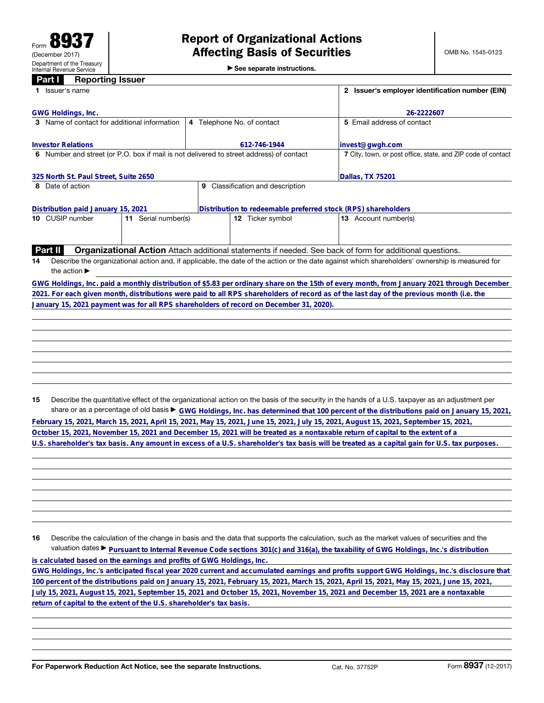▶ See separate instructions.

## **Penorting Issuer**

| ran<br>neporung issuer                                                                                                              |                                                                                                          |                                                                                                                                                 |  |  |
|-------------------------------------------------------------------------------------------------------------------------------------|----------------------------------------------------------------------------------------------------------|-------------------------------------------------------------------------------------------------------------------------------------------------|--|--|
| 1 Issuer's name                                                                                                                     |                                                                                                          |                                                                                                                                                 |  |  |
|                                                                                                                                     |                                                                                                          |                                                                                                                                                 |  |  |
| <b>GWG Holdings, Inc.</b>                                                                                                           |                                                                                                          | 26-2222607                                                                                                                                      |  |  |
| 3 Name of contact for additional information                                                                                        | 4 Telephone No. of contact                                                                               | 5 Email address of contact                                                                                                                      |  |  |
|                                                                                                                                     |                                                                                                          |                                                                                                                                                 |  |  |
| <b>Investor Relations</b>                                                                                                           | 612-746-1944                                                                                             | invest@gwgh.com                                                                                                                                 |  |  |
| 6 Number and street (or P.O. box if mail is not delivered to street address) of contact                                             |                                                                                                          | 7 City, town, or post office, state, and ZIP code of contact                                                                                    |  |  |
|                                                                                                                                     |                                                                                                          |                                                                                                                                                 |  |  |
| 325 North St. Paul Street, Suite 2650                                                                                               |                                                                                                          | Dallas, TX 75201                                                                                                                                |  |  |
| 8 Date of action                                                                                                                    | 9 Classification and description                                                                         |                                                                                                                                                 |  |  |
|                                                                                                                                     |                                                                                                          |                                                                                                                                                 |  |  |
| Distribution paid January 15, 2021                                                                                                  | Distribution to redeemable preferred stock (RPS) shareholders                                            |                                                                                                                                                 |  |  |
| 10 CUSIP number<br>11 Serial number(s)                                                                                              | 12 Ticker symbol                                                                                         | 13 Account number(s)                                                                                                                            |  |  |
|                                                                                                                                     |                                                                                                          |                                                                                                                                                 |  |  |
|                                                                                                                                     |                                                                                                          |                                                                                                                                                 |  |  |
| <b>Part II</b>                                                                                                                      | Organizational Action Attach additional statements if needed. See back of form for additional questions. |                                                                                                                                                 |  |  |
| 14                                                                                                                                  |                                                                                                          | Describe the organizational action and, if applicable, the date of the action or the date against which shareholders' ownership is measured for |  |  |
| the action $\blacktriangleright$                                                                                                    |                                                                                                          |                                                                                                                                                 |  |  |
|                                                                                                                                     |                                                                                                          |                                                                                                                                                 |  |  |
|                                                                                                                                     |                                                                                                          | GWG Holdings, Inc. paid a monthly distribution of \$5.83 per ordinary share on the 15th of every month, from January 2021 through December      |  |  |
|                                                                                                                                     |                                                                                                          | 2021. For each given month, distributions were paid to all RPS shareholders of record as of the last day of the previous month (i.e. the        |  |  |
| January 15, 2021 payment was for all RPS shareholders of record on December 31, 2020).                                              |                                                                                                          |                                                                                                                                                 |  |  |
|                                                                                                                                     |                                                                                                          |                                                                                                                                                 |  |  |
|                                                                                                                                     |                                                                                                          |                                                                                                                                                 |  |  |
|                                                                                                                                     |                                                                                                          |                                                                                                                                                 |  |  |
|                                                                                                                                     |                                                                                                          |                                                                                                                                                 |  |  |
|                                                                                                                                     |                                                                                                          |                                                                                                                                                 |  |  |
|                                                                                                                                     |                                                                                                          |                                                                                                                                                 |  |  |
|                                                                                                                                     |                                                                                                          |                                                                                                                                                 |  |  |
|                                                                                                                                     |                                                                                                          |                                                                                                                                                 |  |  |
| 15                                                                                                                                  |                                                                                                          | Describe the quantitative effect of the organizational action on the basis of the security in the hands of a U.S. taxpayer as an adjustment per |  |  |
|                                                                                                                                     |                                                                                                          | share or as a percentage of old basis > GWG Holdings, Inc. has determined that 100 percent of the distributions paid on January 15, 2021,       |  |  |
| February 15, 2021, March 15, 2021, April 15, 2021, May 15, 2021, June 15, 2021, July 15, 2021, August 15, 2021, September 15, 2021, |                                                                                                          |                                                                                                                                                 |  |  |
| October 15, 2021, November 15, 2021 and December 15, 2021 will be treated as a nontaxable return of capital to the extent of a      |                                                                                                          |                                                                                                                                                 |  |  |
|                                                                                                                                     |                                                                                                          | U.S. shareholder's tax basis. Any amount in excess of a U.S. shareholder's tax basis will be treated as a capital gain for U.S. tax purposes.   |  |  |
|                                                                                                                                     |                                                                                                          |                                                                                                                                                 |  |  |

16 Describe the calculation of the change in basis and the data that supports the calculation, such as the market values of securities and the valuation dates ▶ **Pursuant to Internal Revenue Code sections 301(c) and 316(a), the taxability of GWG Holdings, Inc.'s distribution** is calculated based on the earnings and profits of GWG Holdings, Inc.<br>GWG Holdings, Inc.'s anticipated fiscal year 2020 current and accumulated earnings and profits support GWG Holdings, Inc.'s disclosure that<br>100 percent **July 15, 2021, August 15, 2021, September 15, 2021 and October 15, 2021, November 15, 2021 and December 15, 2021 are a nontaxable return of capital to the extent of the U.S. shareholder's tax basis.**